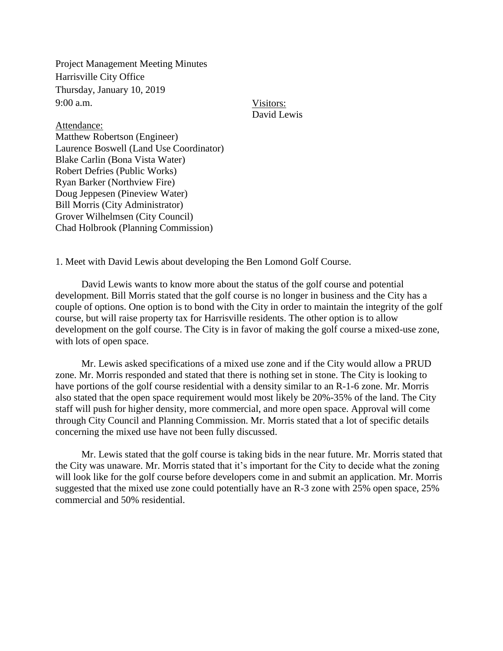Project Management Meeting Minutes Harrisville City Office Thursday, January 10, 2019 9:00 a.m.

Visitors: David Lewis

Attendance: Matthew Robertson (Engineer) Laurence Boswell (Land Use Coordinator) Blake Carlin (Bona Vista Water) Robert Defries (Public Works) Ryan Barker (Northview Fire) Doug Jeppesen (Pineview Water) Bill Morris (City Administrator) Grover Wilhelmsen (City Council) Chad Holbrook (Planning Commission)

1. Meet with David Lewis about developing the Ben Lomond Golf Course.

David Lewis wants to know more about the status of the golf course and potential development. Bill Morris stated that the golf course is no longer in business and the City has a couple of options. One option is to bond with the City in order to maintain the integrity of the golf course, but will raise property tax for Harrisville residents. The other option is to allow development on the golf course. The City is in favor of making the golf course a mixed-use zone, with lots of open space.

Mr. Lewis asked specifications of a mixed use zone and if the City would allow a PRUD zone. Mr. Morris responded and stated that there is nothing set in stone. The City is looking to have portions of the golf course residential with a density similar to an R-1-6 zone. Mr. Morris also stated that the open space requirement would most likely be 20%-35% of the land. The City staff will push for higher density, more commercial, and more open space. Approval will come through City Council and Planning Commission. Mr. Morris stated that a lot of specific details concerning the mixed use have not been fully discussed.

Mr. Lewis stated that the golf course is taking bids in the near future. Mr. Morris stated that the City was unaware. Mr. Morris stated that it's important for the City to decide what the zoning will look like for the golf course before developers come in and submit an application. Mr. Morris suggested that the mixed use zone could potentially have an R-3 zone with 25% open space, 25% commercial and 50% residential.